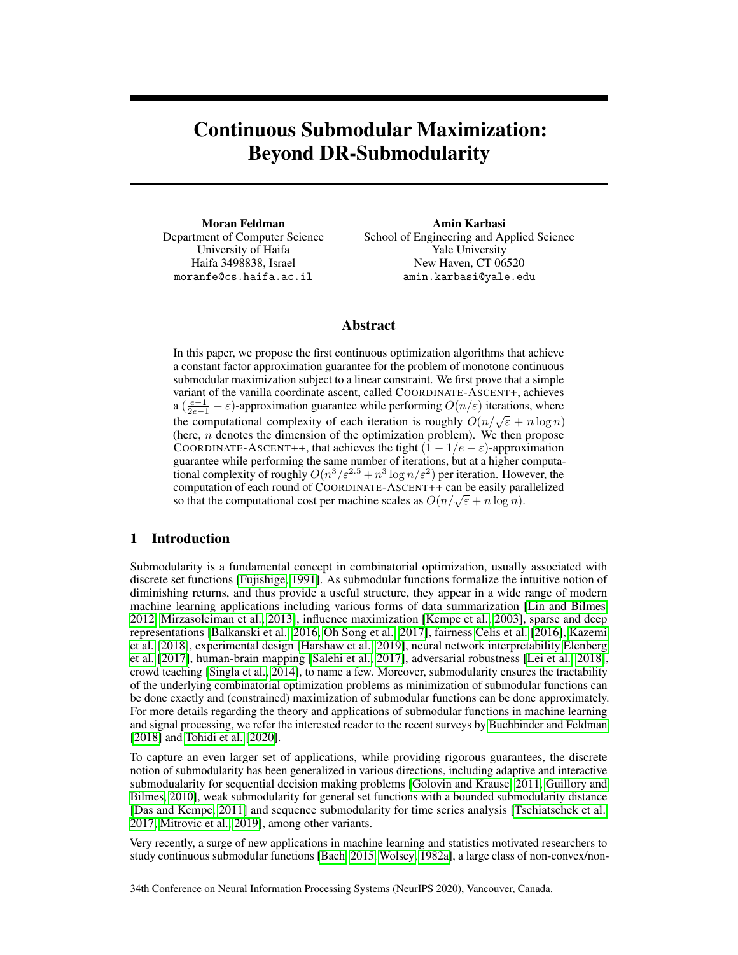# Continuous Submodular Maximization: Beyond DR-Submodularity

Moran Feldman Department of Computer Science University of Haifa Haifa 3498838, Israel moranfe@cs.haifa.ac.il

Amin Karbasi School of Engineering and Applied Science Yale University New Haven, CT 06520 amin.karbasi@yale.edu

# Abstract

In this paper, we propose the first continuous optimization algorithms that achieve a constant factor approximation guarantee for the problem of monotone continuous submodular maximization subject to a linear constraint. We first prove that a simple variant of the vanilla coordinate ascent, called COORDINATE-ASCENT+, achieves a  $(\frac{e-1}{2e-1} - \varepsilon)$ -approximation guarantee while performing  $O(n/\varepsilon)$  iterations, where the computational complexity of each iteration is roughly  $O(n/\sqrt{\varepsilon} + n \log n)$ (here,  $n$  denotes the dimension of the optimization problem). We then propose COORDINATE-ASCENT++, that achieves the tight  $(1 - 1/e - \varepsilon)$ -approximation guarantee while performing the same number of iterations, but at a higher computational complexity of roughly  $O(n^3/\varepsilon^{2.5} + n^3 \log n/\varepsilon^2)$  per iteration. However, the computation of each round of COORDINATE-ASCENT++ can be easily parallelized computation of each round of COORDINATE-ASCENT++ can be easily para-<br>so that the computational cost per machine scales as  $O(n/\sqrt{\varepsilon} + n \log n)$ .

# 1 Introduction

Submodularity is a fundamental concept in combinatorial optimization, usually associated with discrete set functions [\[Fujishige, 1991\]](#page-10-0). As submodular functions formalize the intuitive notion of diminishing returns, and thus provide a useful structure, they appear in a wide range of modern machine learning applications including various forms of data summarization [\[Lin and Bilmes,](#page-11-0) [2012, Mirzasoleiman et al., 2013\]](#page-11-0), influence maximization [\[Kempe et al., 2003\]](#page-11-0), sparse and deep representations [\[Balkanski et al., 2016,](#page-9-0) [Oh Song et al., 2017\]](#page-11-0), fairness [Celis et al.](#page-9-0) [\[2016\]](#page-9-0), [Kazemi](#page-11-0) [et al.](#page-11-0) [\[2018\]](#page-11-0), experimental design [\[Harshaw et al., 2019\]](#page-10-0), neural network interpretability [Elenberg](#page-10-0) [et al.](#page-10-0) [\[2017\]](#page-10-0), human-brain mapping [\[Salehi et al., 2017\]](#page-11-0), adversarial robustness [\[Lei et al., 2018\]](#page-11-0), crowd teaching [\[Singla et al., 2014\]](#page-11-0), to name a few. Moreover, submodularity ensures the tractability of the underlying combinatorial optimization problems as minimization of submodular functions can be done exactly and (constrained) maximization of submodular functions can be done approximately. For more details regarding the theory and applications of submodular functions in machine learning and signal processing, we refer the interested reader to the recent surveys by [Buchbinder and Feldman](#page-9-0) [\[2018\]](#page-9-0) and [Tohidi et al.](#page-12-0) [\[2020\]](#page-12-0).

To capture an even larger set of applications, while providing rigorous guarantees, the discrete notion of submodularity has been generalized in various directions, including adaptive and interactive submodualarity for sequential decision making problems [\[Golovin and Krause, 2011, Guillory and](#page-10-0) [Bilmes, 2010\]](#page-10-0), weak submodularity for general set functions with a bounded submodularity distance [\[Das and Kempe, 2011\]](#page-10-0) and sequence submodularity for time series analysis [\[Tschiatschek et al.,](#page-12-0) [2017,](#page-12-0) [Mitrovic et al., 2019\]](#page-11-0), among other variants.

Very recently, a surge of new applications in machine learning and statistics motivated researchers to study continuous submodular functions [\[Bach, 2015,](#page-9-0) [Wolsey, 1982a\]](#page-12-0), a large class of non-convex/non-

34th Conference on Neural Information Processing Systems (NeurIPS 2020), Vancouver, Canada.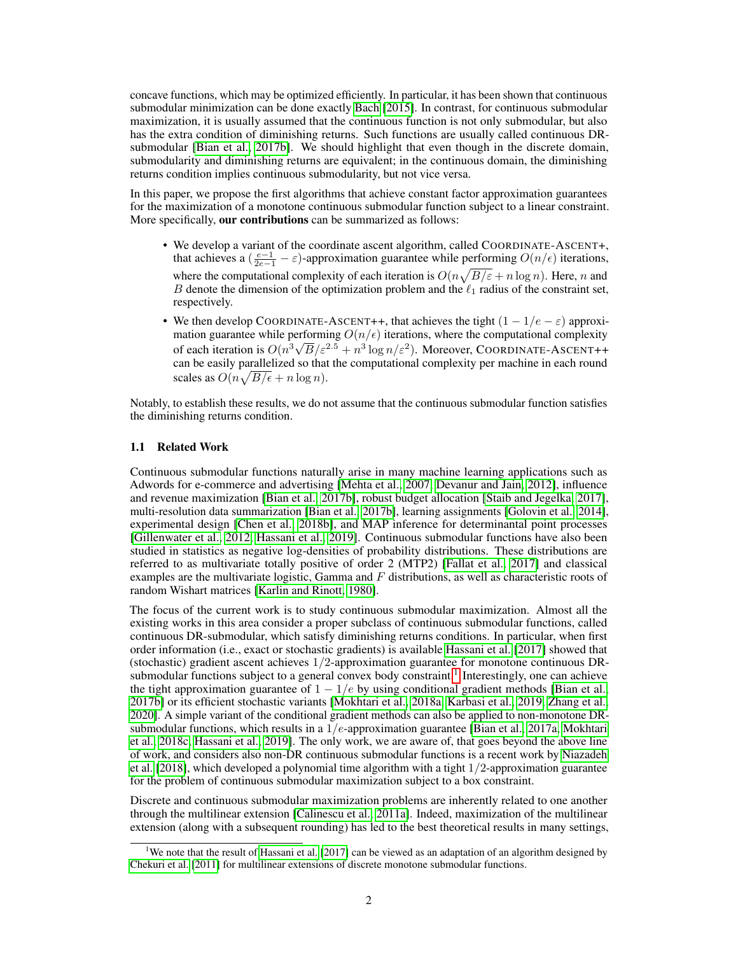concave functions, which may be optimized efficiently. In particular, it has been shown that continuous submodular minimization can be done exactly [Bach](#page-9-0) [\[2015\]](#page-9-0). In contrast, for continuous submodular maximization, it is usually assumed that the continuous function is not only submodular, but also has the extra condition of diminishing returns. Such functions are usually called continuous DRsubmodular [\[Bian et al., 2017b\]](#page-9-0). We should highlight that even though in the discrete domain, submodularity and diminishing returns are equivalent; in the continuous domain, the diminishing returns condition implies continuous submodularity, but not vice versa.

In this paper, we propose the first algorithms that achieve constant factor approximation guarantees for the maximization of a monotone continuous submodular function subject to a linear constraint. More specifically, our contributions can be summarized as follows:

- We develop a variant of the coordinate ascent algorithm, called COORDINATE-ASCENT+, that achieves a  $\left(\frac{e-1}{2e-1} - \varepsilon\right)$ -approximation guarantee while performing  $O(n/\epsilon)$  iterations, where the computational complexity of each iteration is  $O(n\sqrt{B/\varepsilon} + n\log n)$ . Here, n and B denote the dimension of the optimization problem and the  $\ell_1$  radius of the constraint set, respectively.
- We then develop COORDINATE-ASCENT++, that achieves the tight  $(1 1/e \varepsilon)$  approximation guarantee while performing  $O(n/\epsilon)$  iterations, where the computational complexity mation guarantee while performing  $O(n/\epsilon)$  iterations, where the complete complexity<br>of each iteration is  $O(n^3\sqrt{B}/\varepsilon^{2.5}+n^3\log n/\varepsilon^2)$ . Moreover, COORDINATE-ASCENT++ can be easily parallelized so that the computational complexity per machine in each round scales as  $O(n\sqrt{B/\epsilon} + n\log n)$ .

Notably, to establish these results, we do not assume that the continuous submodular function satisfies the diminishing returns condition.

#### 1.1 Related Work

Continuous submodular functions naturally arise in many machine learning applications such as Adwords for e-commerce and advertising [\[Mehta et al., 2007,](#page-11-0) [Devanur and Jain, 2012\]](#page-10-0), influence and revenue maximization [\[Bian et al., 2017b\]](#page-9-0), robust budget allocation [\[Staib and Jegelka, 2017\]](#page-12-0), multi-resolution data summarization [\[Bian et al., 2017b\]](#page-9-0), learning assignments [\[Golovin et al., 2014\]](#page-10-0), experimental design [\[Chen et al., 2018b\]](#page-10-0), and MAP inference for determinantal point processes [\[Gillenwater et al., 2012, Hassani et al., 2019\]](#page-10-0). Continuous submodular functions have also been studied in statistics as negative log-densities of probability distributions. These distributions are referred to as multivariate totally positive of order 2 (MTP2) [\[Fallat et al., 2017\]](#page-10-0) and classical examples are the multivariate logistic, Gamma and  $F$  distributions, as well as characteristic roots of random Wishart matrices [\[Karlin and Rinott, 1980\]](#page-11-0).

The focus of the current work is to study continuous submodular maximization. Almost all the existing works in this area consider a proper subclass of continuous submodular functions, called continuous DR-submodular, which satisfy diminishing returns conditions. In particular, when first order information (i.e., exact or stochastic gradients) is available [Hassani et al.](#page-10-0) [\[2017\]](#page-10-0) showed that (stochastic) gradient ascent achieves  $1/2$ -approximation guarantee for monotone continuous DRsubmodular functions subject to a general convex body constraint.<sup>1</sup> Interestingly, one can achieve the tight approximation guarantee of  $1 - 1/e$  by using conditional gradient methods [\[Bian et al.,](#page-9-0) [2017b\]](#page-9-0) or its efficient stochastic variants [\[Mokhtari et al., 2018a, Karbasi et al., 2019,](#page-11-0) [Zhang et al.,](#page-12-0) [2020\]](#page-12-0). A simple variant of the conditional gradient methods can also be applied to non-monotone DRsubmodular functions, which results in a  $1/e$ -approximation guarantee [\[Bian et al., 2017a,](#page-9-0) [Mokhtari](#page-11-0) [et al., 2018c,](#page-11-0) [Hassani et al., 2019\]](#page-10-0). The only work, we are aware of, that goes beyond the above line of work, and considers also non-DR continuous submodular functions is a recent work by [Niazadeh](#page-11-0) [et al.](#page-11-0)  $[2018]$ , which developed a polynomial time algorithm with a tight  $1/2$ -approximation guarantee for the problem of continuous submodular maximization subject to a box constraint.

Discrete and continuous submodular maximization problems are inherently related to one another through the multilinear extension [\[Calinescu et al., 2011a\]](#page-9-0). Indeed, maximization of the multilinear extension (along with a subsequent rounding) has led to the best theoretical results in many settings,

<sup>&</sup>lt;sup>1</sup>We note that the result of [Hassani et al.](#page-10-0) [\[2017\]](#page-10-0) can be viewed as an adaptation of an algorithm designed by [Chekuri et al.](#page-9-0) [\[2011\]](#page-9-0) for multilinear extensions of discrete monotone submodular functions.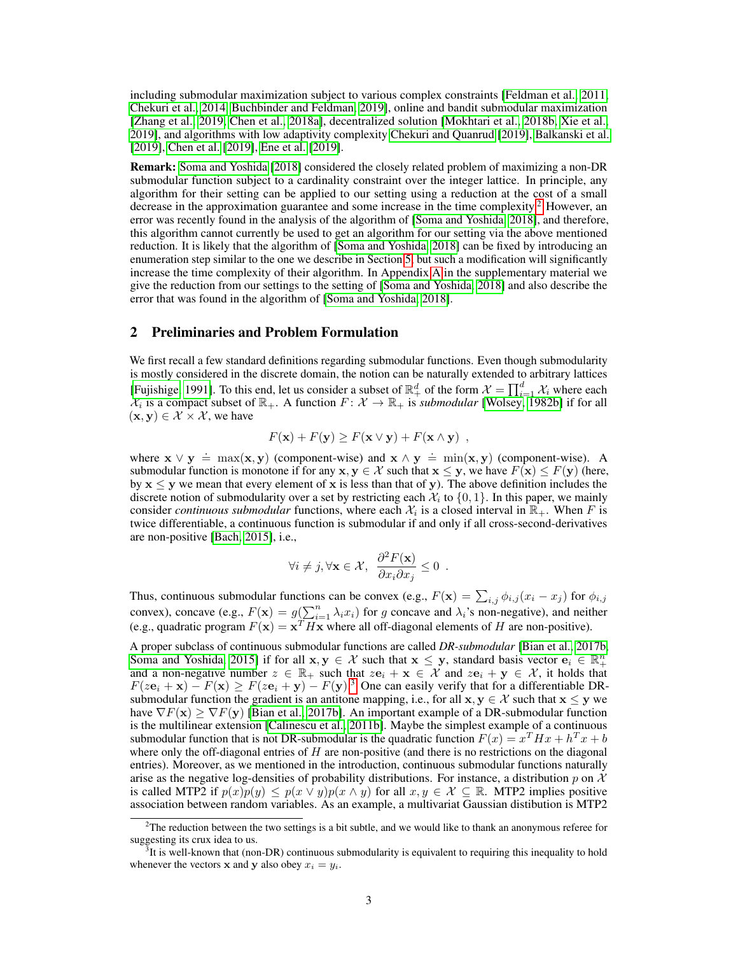including submodular maximization subject to various complex constraints [\[Feldman et al., 2011,](#page-10-0) [Chekuri et al., 2014, Buchbinder and Feldman, 2019\]](#page-9-0), online and bandit submodular maximization [\[Zhang et al., 2019,](#page-12-0) [Chen et al., 2018a\]](#page-10-0), decentralized solution [\[Mokhtari et al., 2018b,](#page-11-0) [Xie et al.,](#page-12-0) [2019\]](#page-12-0), and algorithms with low adaptivity complexity [Chekuri and Quanrud](#page-9-0) [\[2019\]](#page-9-0), [Balkanski et al.](#page-9-0) [\[2019\]](#page-10-0), [Chen et al.](#page-10-0) [2019], [Ene et al.](#page-10-0) [2019].

Remark: [Soma and Yoshida](#page-12-0) [\[2018\]](#page-12-0) considered the closely related problem of maximizing a non-DR submodular function subject to a cardinality constraint over the integer lattice. In principle, any algorithm for their setting can be applied to our setting using a reduction at the cost of a small decrease in the approximation guarantee and some increase in the time complexity.<sup>2</sup> However, an error was recently found in the analysis of the algorithm of [\[Soma and Yoshida, 2018\]](#page-12-0), and therefore, this algorithm cannot currently be used to get an algorithm for our setting via the above mentioned reduction. It is likely that the algorithm of [\[Soma and Yoshida, 2018\]](#page-12-0) can be fixed by introducing an enumeration step similar to the one we describe in Section [5,](#page-6-0) but such a modification will significantly increase the time complexity of their algorithm. In Appendix A in the supplementary material we give the reduction from our settings to the setting of [\[Soma and Yoshida, 2018\]](#page-12-0) and also describe the error that was found in the algorithm of [\[Soma and Yoshida, 2018\]](#page-12-0).

#### 2 Preliminaries and Problem Formulation

We first recall a few standard definitions regarding submodular functions. Even though submodularity is mostly considered in the discrete domain, the notion can be naturally extended to arbitrary lattices [\[Fujishige, 1991\]](#page-10-0). To this end, let us consider a subset of  $\mathbb{R}^d_+$  of the form  $\mathcal{X} = \prod_{i=1}^d \mathcal{X}_i$  where each  $\mathcal{X}_i$  is a compact subset of  $\mathbb{R}_+$ . A function  $F: \mathcal{X} \to \mathbb{R}_+$  is *submodular* [\[Wolsey, 1982b\]](#page-12-0) if for all  $(\mathbf{x}, \mathbf{y}) \in \mathcal{X} \times \mathcal{X}$ , we have

$$
F(\mathbf{x}) + F(\mathbf{y}) \ge F(\mathbf{x} \vee \mathbf{y}) + F(\mathbf{x} \wedge \mathbf{y}) ,
$$

where  $\mathbf{x} \lor \mathbf{y} \doteq \max(\mathbf{x}, \mathbf{y})$  (component-wise) and  $\mathbf{x} \land \mathbf{y} \doteq \min(\mathbf{x}, \mathbf{y})$  (component-wise). A submodular function is monotone if for any  $x, y \in \mathcal{X}$  such that  $x \leq y$ , we have  $F(x) \leq F(y)$  (here, by  $x \leq y$  we mean that every element of x is less than that of y). The above definition includes the discrete notion of submodularity over a set by restricting each  $\mathcal{X}_i$  to  $\{0,1\}$ . In this paper, we mainly consider *continuous submodular* functions, where each  $\mathcal{X}_i$  is a closed interval in  $\mathbb{R}_+$ . When F is twice differentiable, a continuous function is submodular if and only if all cross-second-derivatives are non-positive [\[Bach, 2015\]](#page-9-0), i.e.,

$$
\forall i \neq j, \forall \mathbf{x} \in \mathcal{X}, \ \frac{\partial^2 F(\mathbf{x})}{\partial x_i \partial x_j} \leq 0 \ .
$$

Thus, continuous submodular functions can be convex (e.g.,  $F(\mathbf{x}) = \sum_{i,j} \phi_{i,j} (x_i - x_j)$  for  $\phi_{i,j}$ convex), concave (e.g.,  $F(\mathbf{x}) = g(\sum_{i=1}^{n} \lambda_i x_i)$  for g concave and  $\lambda_i$ 's non-negative), and neither (e.g., quadratic program  $F(\mathbf{x}) = \mathbf{x}^T H \mathbf{x}$  where all off-diagonal elements of H are non-positive).

A proper subclass of continuous submodular functions are called *DR-submodular* [\[Bian et al., 2017b,](#page-9-0) [Soma and Yoshida, 2015\]](#page-11-0) if for all  $x, y \in \mathcal{X}$  such that  $x \leq y$ , standard basis vector  $e_i \in \mathbb{R}_+^n$ <br>and a non-negative number  $z \in \mathbb{R}_+$  such that  $ze_i + x \in \mathcal{X}$  and  $ze_i + y \in \mathcal{X}$ , it holds that  $F(z\mathbf{e}_i + \mathbf{x}) - F(\mathbf{x}) \ge F(z\mathbf{e}_i + \mathbf{y}) - F(\mathbf{y})^3$  One can easily verify that for a differentiable DRsubmodular function the gradient is an antitone mapping, i.e., for all  $x, y \in \mathcal{X}$  such that  $x \leq y$  we have  $\nabla F(\mathbf{x})$   $> \nabla F(\mathbf{y})$  [\[Bian et al., 2017b\]](#page-9-0). An important example of a DR-submodular function is the multilinear extension [\[Calinescu et al., 2011b\]](#page-9-0). Maybe the simplest example of a continuous submodular function that is not DR-submodular is the quadratic function  $F(x) = x^T H x + h^T x + b$ where only the off-diagonal entries of  $H$  are non-positive (and there is no restrictions on the diagonal entries). Moreover, as we mentioned in the introduction, continuous submodular functions naturally arise as the negative log-densities of probability distributions. For instance, a distribution p on  $\mathcal X$ is called MTP2 if  $p(x)p(y) \leq p(x \vee y)p(x \wedge y)$  for all  $x, y \in \mathcal{X} \subseteq \mathbb{R}$ . MTP2 implies positive association between random variables. As an example, a multivariat Gaussian distibution is MTP2

 $2$ The reduction between the two settings is a bit subtle, and we would like to thank an anonymous referee for suggesting its crux idea to us.

 ${}^{3}$ It is well-known that (non-DR) continuous submodularity is equivalent to requiring this inequality to hold whenever the vectors **x** and **y** also obey  $x_i = y_i$ .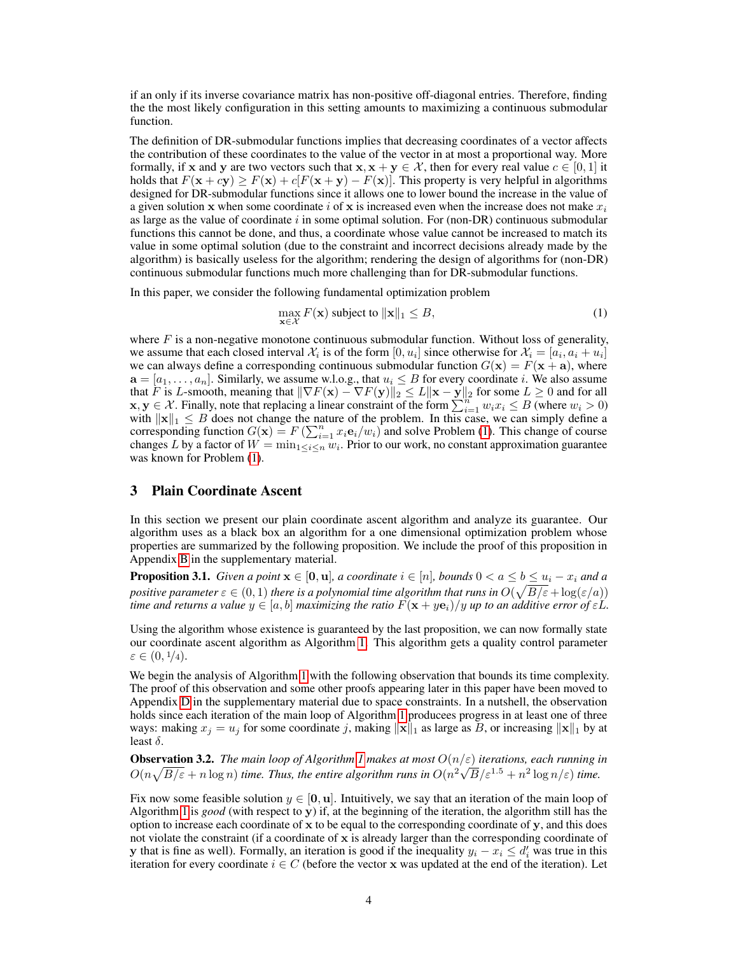<span id="page-3-0"></span>if an only if its inverse covariance matrix has non-positive off-diagonal entries. Therefore, finding the the most likely configuration in this setting amounts to maximizing a continuous submodular function.

The definition of DR-submodular functions implies that decreasing coordinates of a vector affects the contribution of these coordinates to the value of the vector in at most a proportional way. More formally, if x and y are two vectors such that  $x, x + y \in \mathcal{X}$ , then for every real value  $c \in [0, 1]$  it holds that  $F(x + cy) > F(x) + c[F(x + y) - F(x)]$ . This property is very helpful in algorithms designed for DR-submodular functions since it allows one to lower bound the increase in the value of a given solution x when some coordinate i of x is increased even when the increase does not make  $x_i$ as large as the value of coordinate  $i$  in some optimal solution. For (non-DR) continuous submodular functions this cannot be done, and thus, a coordinate whose value cannot be increased to match its value in some optimal solution (due to the constraint and incorrect decisions already made by the algorithm) is basically useless for the algorithm; rendering the design of algorithms for (non-DR) continuous submodular functions much more challenging than for DR-submodular functions.

In this paper, we consider the following fundamental optimization problem

$$
\max_{\mathbf{x} \in \mathcal{X}} F(\mathbf{x}) \text{ subject to } \|\mathbf{x}\|_1 \leq B,
$$
\n(1)

where  $F$  is a non-negative monotone continuous submodular function. Without loss of generality, we assume that each closed interval  $\mathcal{X}_i$  is of the form  $[0, u_i]$  since otherwise for  $\mathcal{X}_i = [a_i, a_i + u_i]$ we can always define a corresponding continuous submodular function  $G(\mathbf{x}) = F(\mathbf{x} + \mathbf{a})$ , where  $a = [a_1, \ldots, a_n]$ . Similarly, we assume w.l.o.g., that  $u_i \leq B$  for every coordinate i. We also assume that F is L-smooth, meaning that  $\|\nabla F(\mathbf{x}) - \nabla F(\mathbf{y})\|_2 \le L \|\mathbf{x} - \mathbf{y}\|_2$  for some  $L \ge 0$  and for all  $x, y \in \mathcal{X}$ . Finally, note that replacing a linear constraint of the form  $\sum_{i=1}^{n} w_i x_i \le B$  (where  $w_i > 0$ ) with  $||\mathbf{x}||_1 \leq B$  does not change the nature of the problem. In this case, we can simply define a corresponding function  $G(\mathbf{x}) = F\left(\sum_{i=1}^n x_i \mathbf{e}_i/w_i\right)$  and solve Problem (1). This change of course changes L by a factor of  $W = \min_{1 \leq i \leq n} w_i$ . Prior to our work, no constant approximation guarantee was known for Problem (1).

## 3 Plain Coordinate Ascent

In this section we present our plain coordinate ascent algorithm and analyze its guarantee. Our algorithm uses as a black box an algorithm for a one dimensional optimization problem whose properties are summarized by the following proposition. We include the proof of this proposition in Appendix B in the supplementary material.

**Proposition 3.1.** *Given a point*  $\mathbf{x} \in [\mathbf{0}, \mathbf{u}]$ *, a coordinate*  $i \in [n]$ *, bounds*  $0 < a \leq b \leq u_i - x_i$  *and a* positive parameter  $\varepsilon \in (0,1)$  there is a polynomial time algorithm that runs in  $O(\sqrt{B/\varepsilon} + \log(\varepsilon/a))$ *time and returns a value*  $y \in [a, b]$  *maximizing the ratio*  $F(x + ye_i)/y$  *up to an additive error of*  $\varepsilon L$ *.* 

Using the algorithm whose existence is guaranteed by the last proposition, we can now formally state our coordinate ascent algorithm as Algorithm [1.](#page-4-0) This algorithm gets a quality control parameter  $\varepsilon \in (0, \frac{1}{4}).$ 

We begin the analysis of Algorithm [1](#page-4-0) with the following observation that bounds its time complexity. The proof of this observation and some other proofs appearing later in this paper have been moved to Appendix D in the supplementary material due to space constraints. In a nutshell, the observation holds since each iteration of the main loop of Algorithm [1](#page-4-0) producees progress in at least one of three ways: making  $x_j = u_j$  for some coordinate j, making  $||\mathbf{x}||_1$  as large as B, or increasing  $||\mathbf{x}||_1$  by at least  $\delta$ .

**Observation 3.2.** *The main loop of Algorithm [1](#page-4-0) makes at most*  $O(n/\varepsilon)$  *iterations, each running in*  $O(n\sqrt{B/\varepsilon}+n\log n)$  *time. Thus, the entire algorithm runs in*  $O(n^2\sqrt{B/\varepsilon}^{1.5}+n^2\log n/\varepsilon)$  *time.* 

Fix now some feasible solution  $y \in [0, u]$ . Intuitively, we say that an iteration of the main loop of Algorithm [1](#page-4-0) is *good* (with respect to y) if, at the beginning of the iteration, the algorithm still has the option to increase each coordinate of  $x$  to be equal to the corresponding coordinate of  $y$ , and this does not violate the constraint (if a coordinate of  $x$  is already larger than the corresponding coordinate of y that is fine as well). Formally, an iteration is good if the inequality  $y_i - x_i \le d'_i$  was true in this iteration for every coordinate  $i \in C$  (before the vector x was updated at the end of the iteration). Let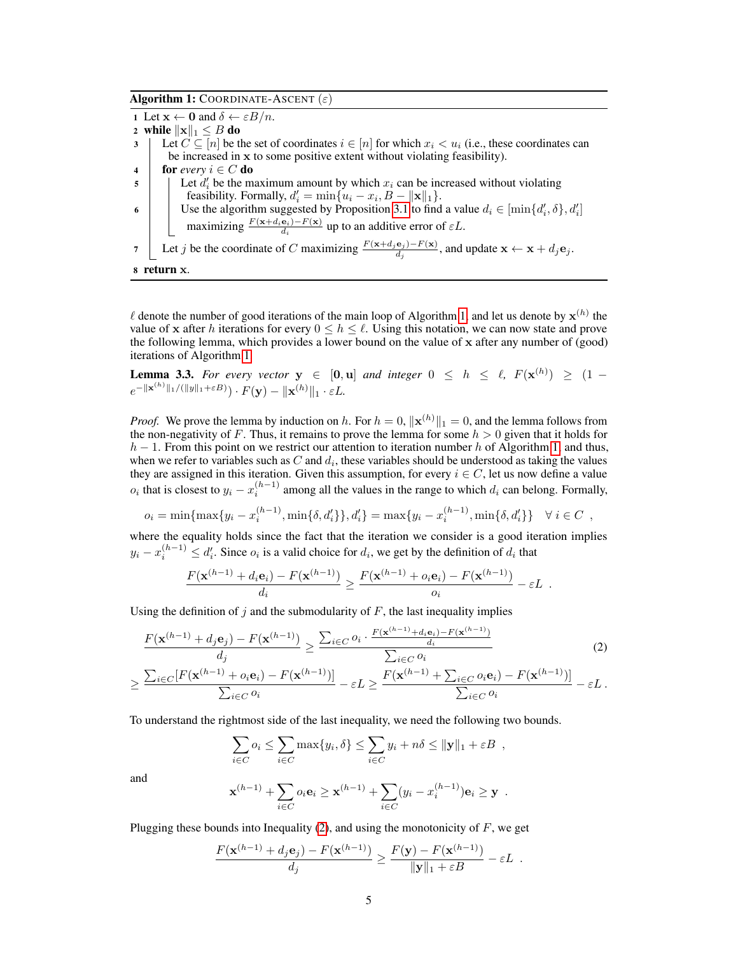<span id="page-4-0"></span>Algorithm 1: COORDINATE-ASCENT  $(\varepsilon)$ 

1 Let  $\mathbf{x} \leftarrow \mathbf{0}$  and  $\delta \leftarrow \varepsilon B/n$ . 2 while  $\Vert \mathbf{x} \Vert_1 \leq B$  do 3 Let  $C \subseteq [n]$  be the set of coordinates  $i \in [n]$  for which  $x_i < u_i$  (i.e., these coordinates can be increased in x to some positive extent without violating feasibility). 4 **for** *every*  $i \in C$  **do**  $\mathfrak{g}$  Let  $d_i'$  be the maximum amount by which  $x_i$  can be increased without violating feasibility. Formally,  $d_i' = \min\{u_i - x_i, B - ||\mathbf{x}||_1\}.$ 6 Use the algorithm suggested by Proposition [3.1](#page-3-0) to find a value  $d_i \in [\min\{d'_i, \delta\}, d'_i]$ maximizing  $\frac{F(\mathbf{x}+d_i\mathbf{e}_i)-F(\mathbf{x})}{d_i}$  up to an additive error of  $\varepsilon L$ . 7 Let j be the coordinate of C maximizing  $\frac{F(x+d_j{\bf e}_j)-F({\bf x})}{d_j}$ , and update  ${\bf x} \leftarrow {\bf x} + d_j{\bf e}_j$ . <sup>8</sup> return x.

 $\ell$  denote the number of good iterations of the main loop of Algorithm 1, and let us denote by  $\mathbf{x}^{(h)}$  the value of x after h iterations for every  $0 \le h \le \ell$ . Using this notation, we can now state and prove the following lemma, which provides a lower bound on the value of x after any number of (good) iterations of Algorithm 1.

**Lemma 3.3.** For every vector  $y \in [0, u]$  and integer  $0 \leq h \leq \ell$ ,  $F(x^{(h)}) \geq (1$  $e^{-\|\mathbf{x}^{(h)}\|_1/(\|y\|_1+\varepsilon B)})\cdot F(\mathbf{y})-\|\mathbf{x}^{(h)}\|_1\cdot\varepsilon L.$ 

*Proof.* We prove the lemma by induction on h. For  $h = 0$ ,  $\|\mathbf{x}^{(h)}\|_1 = 0$ , and the lemma follows from the non-negativity of F. Thus, it remains to prove the lemma for some  $h > 0$  given that it holds for  $h-1$ . From this point on we restrict our attention to iteration number h of Algorithm 1, and thus, when we refer to variables such as C and  $d_i$ , these variables should be understood as taking the values they are assigned in this iteration. Given this assumption, for every  $i \in C$ , let us now define a value  $o_i$  that is closest to  $y_i - x_i^{(h-1)}$  among all the values in the range to which  $d_i$  can belong. Formally,

$$
o_i = \min\{\max\{y_i - x_i^{(h-1)}, \min\{\delta, d_i'\}\}, d_i' = \max\{y_i - x_i^{(h-1)}, \min\{\delta, d_i'\}\} \quad \forall i \in C
$$

where the equality holds since the fact that the iteration we consider is a good iteration implies  $y_i - x_i^{(h-1)} \le d_i'$ . Since  $o_i$  is a valid choice for  $d_i$ , we get by the definition of  $d_i$  that

$$
\frac{F(\mathbf{x}^{(h-1)} + d_i \mathbf{e}_i) - F(\mathbf{x}^{(h-1)})}{d_i} \ge \frac{F(\mathbf{x}^{(h-1)} + o_i \mathbf{e}_i) - F(\mathbf{x}^{(h-1)})}{o_i} - \varepsilon L.
$$

Using the definition of j and the submodularity of  $F$ , the last inequality implies

$$
\frac{F(\mathbf{x}^{(h-1)} + d_j \mathbf{e}_j) - F(\mathbf{x}^{(h-1)})}{d_j} \ge \frac{\sum_{i \in C} o_i \cdot \frac{F(\mathbf{x}^{(h-1)} + d_i \mathbf{e}_i) - F(\mathbf{x}^{(h-1)})}{d_i}}{\sum_{i \in C} o_i}
$$
\n
$$
\ge \frac{\sum_{i \in C} [F(\mathbf{x}^{(h-1)} + o_i \mathbf{e}_i) - F(\mathbf{x}^{(h-1)})]}{\sum_{i \in C} o_i} - \varepsilon L \ge \frac{F(\mathbf{x}^{(h-1)} + \sum_{i \in C} o_i \mathbf{e}_i) - F(\mathbf{x}^{(h-1)})}{\sum_{i \in C} o_i} - \varepsilon L.
$$
\n(2)

To understand the rightmost side of the last inequality, we need the following two bounds.

$$
\sum_{i \in C} o_i \le \sum_{i \in C} \max\{y_i, \delta\} \le \sum_{i \in C} y_i + n\delta \le ||\mathbf{y}||_1 + \varepsilon B,
$$

and

$$
\mathbf{x}^{(h-1)} + \sum_{i \in C} o_i \mathbf{e}_i \ge \mathbf{x}^{(h-1)} + \sum_{i \in C} (y_i - x_i^{(h-1)}) \mathbf{e}_i \ge \mathbf{y} .
$$

Plugging these bounds into Inequality  $(2)$ , and using the monotonicity of F, we get

$$
\frac{F(\mathbf{x}^{(h-1)} + d_j \mathbf{e}_j) - F(\mathbf{x}^{(h-1)})}{d_j} \ge \frac{F(\mathbf{y}) - F(\mathbf{x}^{(h-1)})}{\|\mathbf{y}\|_1 + \varepsilon B} - \varepsilon L.
$$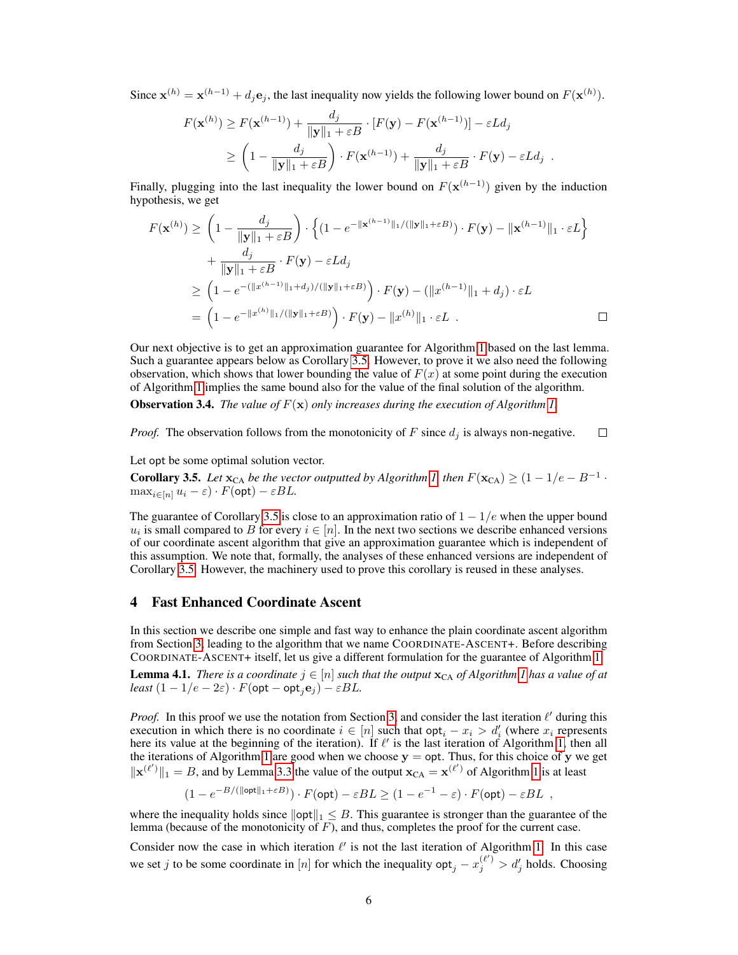<span id="page-5-0"></span>Since  $\mathbf{x}^{(h)} = \mathbf{x}^{(h-1)} + d_j \mathbf{e}_j$ , the last inequality now yields the following lower bound on  $F(\mathbf{x}^{(h)})$ .

$$
F(\mathbf{x}^{(h)}) \ge F(\mathbf{x}^{(h-1)}) + \frac{d_j}{\|\mathbf{y}\|_1 + \varepsilon B} \cdot [F(\mathbf{y}) - F(\mathbf{x}^{(h-1)})] - \varepsilon L d_j
$$
  
\n
$$
\ge \left(1 - \frac{d_j}{\|\mathbf{y}\|_1 + \varepsilon B}\right) \cdot F(\mathbf{x}^{(h-1)}) + \frac{d_j}{\|\mathbf{y}\|_1 + \varepsilon B} \cdot F(\mathbf{y}) - \varepsilon L d_j.
$$

Finally, plugging into the last inequality the lower bound on  $F(\mathbf{x}^{(h-1)})$  given by the induction hypothesis, we get

$$
F(\mathbf{x}^{(h)}) \geq \left(1 - \frac{d_j}{\|\mathbf{y}\|_1 + \varepsilon B}\right) \cdot \left\{ (1 - e^{-\|\mathbf{x}^{(h-1)}\|_1 / (\|\mathbf{y}\|_1 + \varepsilon B)}) \cdot F(\mathbf{y}) - \|\mathbf{x}^{(h-1)}\|_1 \cdot \varepsilon L \right\}
$$
  
+ 
$$
\frac{d_j}{\|\mathbf{y}\|_1 + \varepsilon B} \cdot F(\mathbf{y}) - \varepsilon L d_j
$$
  

$$
\geq \left(1 - e^{-(\|\mathbf{x}^{(h-1)}\|_1 + d_j) / (\|\mathbf{y}\|_1 + \varepsilon B)}) \cdot F(\mathbf{y}) - (\|\mathbf{x}^{(h-1)}\|_1 + d_j) \cdot \varepsilon L
$$
  
= 
$$
\left(1 - e^{-\|\mathbf{x}^{(h)}\|_1 / (\|\mathbf{y}\|_1 + \varepsilon B)}) \cdot F(\mathbf{y}) - \|\mathbf{x}^{(h)}\|_1 \cdot \varepsilon L . \square
$$

Our next objective is to get an approximation guarantee for Algorithm [1](#page-4-0) based on the last lemma. Such a guarantee appears below as Corollary 3.5. However, to prove it we also need the following observation, which shows that lower bounding the value of  $F(x)$  at some point during the execution of Algorithm [1](#page-4-0) implies the same bound also for the value of the final solution of the algorithm.

**Observation 3.4.** *The value of*  $F(x)$  *only increases during the execution of Algorithm [1.](#page-4-0)* 

*Proof.* The observation follows from the monotonicity of F since  $d_i$  is always non-negative.  $\Box$ 

Let opt be some optimal solution vector.

**Corollary 3.5.** Let  $\mathbf{x}_{CA}$  be the vector outputted by Algorithm [1,](#page-4-0) then  $F(\mathbf{x}_{CA}) \geq (1 - 1/e - B^{-1} \cdot \mathbf{x}_{CA})$  $\max_{i \in [n]} u_i - \varepsilon \cdot F(\text{opt}) - \varepsilon BL.$ 

The guarantee of Corollary 3.5 is close to an approximation ratio of  $1 - 1/e$  when the upper bound  $u_i$  is small compared to B for every  $i \in [n]$ . In the next two sections we describe enhanced versions of our coordinate ascent algorithm that give an approximation guarantee which is independent of this assumption. We note that, formally, the analyses of these enhanced versions are independent of Corollary 3.5. However, the machinery used to prove this corollary is reused in these analyses.

#### 4 Fast Enhanced Coordinate Ascent

In this section we describe one simple and fast way to enhance the plain coordinate ascent algorithm from Section [3,](#page-3-0) leading to the algorithm that we name COORDINATE-ASCENT+. Before describing COORDINATE-ASCENT+ itself, let us give a different formulation for the guarantee of Algorithm [1.](#page-4-0)

**Lemma 4.1.** *There is a coordinate*  $j \in [n]$  *such that the output*  $\mathbf{x}_{CA}$  *of Algorithm [1](#page-4-0) has a value of at least*  $(1 - 1/e - 2\varepsilon) \cdot F(\text{opt} - \text{opt}_i \mathbf{e}_j) - \varepsilon BL$ .

*Proof.* In this proof we use the notation from Section [3,](#page-3-0) and consider the last iteration  $\ell'$  during this execution in which there is no coordinate  $i \in [n]$  such that opt $i - x_i > d'_i$  (where  $x_i$  represents here its value at the beginning of the iteration). If  $\ell'$  is the last iteration of Algorithm [1,](#page-4-0) then all the iterations of Algorithm [1](#page-4-0) are good when we choose  $y = opt$ . Thus, for this choice of y we get  $\|\mathbf{x}^{(\ell')}\|_1 = B$ , and by Lemma [3.3](#page-4-0) the value of the output  $\mathbf{x}_{CA} = \mathbf{x}^{(\ell')}$  of Algorithm [1](#page-4-0) is at least

$$
(1 - e^{-B/(\|\text{opt}\|_1 + \varepsilon B)}) \cdot F(\text{opt}) - \varepsilon BL \ge (1 - e^{-1} - \varepsilon) \cdot F(\text{opt}) - \varepsilon BL ,
$$

where the inequality holds since  $||\text{opt}||_1 \leq B$ . This guarantee is stronger than the guarantee of the lemma (because of the monotonicity of  $F$ ), and thus, completes the proof for the current case.

Consider now the case in which iteration  $\ell'$  is not the last iteration of Algorithm [1.](#page-4-0) In this case we set j to be some coordinate in [n] for which the inequality  $opt_j - x_j^{(\ell')} > d'_j$  holds. Choosing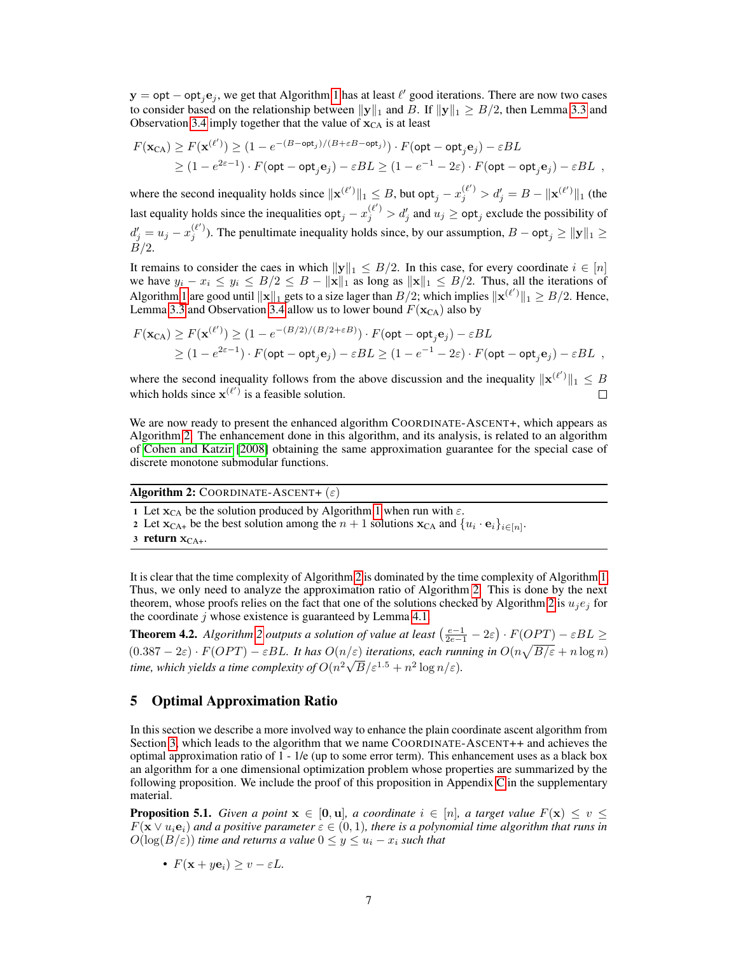<span id="page-6-0"></span> $y = opt - opt<sub>j</sub>e<sub>j</sub>$ , we get that Algorithm [1](#page-4-0) has at least  $\ell'$  good iterations. There are now two cases to consider based on the relationship between  $||y||_1$  and B. If  $||y||_1 \ge B/2$ , then Lemma [3.3](#page-4-0) and Observation [3.4](#page-5-0) imply together that the value of  $\mathbf{x}_{CA}$  is at least

$$
F(\mathbf{x}_{CA}) \ge F(\mathbf{x}^{(\ell')}) \ge (1 - e^{-(B - \mathsf{opt}_j)/(B + \varepsilon B - \mathsf{opt}_j)}) \cdot F(\mathsf{opt} - \mathsf{opt}_j \mathbf{e}_j) - \varepsilon BL
$$
  
 
$$
\ge (1 - e^{2\varepsilon - 1}) \cdot F(\mathsf{opt} - \mathsf{opt}_j \mathbf{e}_j) - \varepsilon BL \ge (1 - e^{-1} - 2\varepsilon) \cdot F(\mathsf{opt} - \mathsf{opt}_j \mathbf{e}_j) - \varepsilon BL ,
$$

where the second inequality holds since  $\|\mathbf{x}^{(\ell')}\|_1 \leq B$ , but opt $_j - x_j^{(\ell')} > d'_j = B - \|\mathbf{x}^{(\ell')}\|_1$  (the last equality holds since the inequalities  $opt_j - x_j^{(\ell')} > d'_j$  and  $u_j \ge opt_j$  exclude the possibility of  $d'_j = u_j - x_j^{(\ell')}$ ). The penultimate inequality holds since, by our assumption,  $B - opt_j \ge ||y||_1 \ge$  $\overrightarrow{B}/2$ .

It remains to consider the caes in which  $||y||_1 \leq B/2$ . In this case, for every coordinate  $i \in [n]$ we have  $y_i - x_i \le y_i \le B/2 \le B - ||\mathbf{x}||_1$  as long as  $||\mathbf{x}||_1 \le B/2$ . Thus, all the iterations of Algorithm [1](#page-4-0) are good until  $\|\mathbf{x}\|_1$  gets to a size lager than  $B/2$ ; which implies  $\|\mathbf{x}^{(\ell')}\|_1 \geq B/2$ . Hence, Lemma [3.3](#page-4-0) and Observation [3.4](#page-5-0) allow us to lower bound  $F(\mathbf{x}_{CA})$  also by

$$
F(\mathbf{x}_{CA}) \ge F(\mathbf{x}^{(\ell')}) \ge (1 - e^{-(B/2)/(B/2 + \varepsilon B)}) \cdot F(\text{opt} - \text{opt}_j \mathbf{e}_j) - \varepsilon BL
$$
  
 
$$
\ge (1 - e^{2\varepsilon - 1}) \cdot F(\text{opt} - \text{opt}_j \mathbf{e}_j) - \varepsilon BL \ge (1 - e^{-1} - 2\varepsilon) \cdot F(\text{opt} - \text{opt}_j \mathbf{e}_j) - \varepsilon BL ,
$$

where the second inequality follows from the above discussion and the inequality  $\|\mathbf{x}^{(\ell')}\|_1 \leq B$ which holds since  $\mathbf{x}^{(\ell')}$  is a feasible solution.  $\Box$ 

We are now ready to present the enhanced algorithm COORDINATE-ASCENT+, which appears as Algorithm 2. The enhancement done in this algorithm, and its analysis, is related to an algorithm of [Cohen and Katzir](#page-10-0) [\[2008\]](#page-10-0) obtaining the same approximation guarantee for the special case of discrete monotone submodular functions.

Algorithm 2: COORDINATE-ASCENT+  $(\varepsilon)$ 

- 1 Let  $x_{CA}$  be the solution produced by Algorithm [1](#page-4-0) when run with  $\varepsilon$ .
- 2 Let  $\mathbf{x}_{CA+}$  be the best solution among the  $n+1$  solutions  $\mathbf{x}_{CA}$  and  $\{u_i \cdot \mathbf{e}_i\}_{i \in [n]}$ .

 $3$  return  $x_{CA+}$ .

It is clear that the time complexity of Algorithm 2 is dominated by the time complexity of Algorithm [1.](#page-4-0) Thus, we only need to analyze the approximation ratio of Algorithm 2. This is done by the next theorem, whose proofs relies on the fact that one of the solutions checked by Algorithm 2 is  $u_i e_j$  for the coordinate  $j$  whose existence is guaranteed by Lemma [4.1.](#page-5-0)

**Theorem 4.2.** Algorithm 2 outputs a solution of value at least  $\left(\frac{e-1}{2e-1} - 2\varepsilon\right) \cdot F(OPT) - \varepsilon BL \geq$  $(0.387 - 2\varepsilon) \cdot F(OPT) - \varepsilon BL$ . It has  $O(n/\varepsilon)$  *iterations, each running in*  $O(n\sqrt{B/\varepsilon} + n \log n)$ time, which yields a time complexity of  $O(n^2\sqrt{B}/\varepsilon^{1.5}+n^2\log n/\varepsilon)$ .

## 5 Optimal Approximation Ratio

In this section we describe a more involved way to enhance the plain coordinate ascent algorithm from Section [3,](#page-3-0) which leads to the algorithm that we name COORDINATE-ASCENT++ and achieves the optimal approximation ratio of 1 - 1/e (up to some error term). This enhancement uses as a black box an algorithm for a one dimensional optimization problem whose properties are summarized by the following proposition. We include the proof of this proposition in Appendix C in the supplementary material.

**Proposition 5.1.** *Given a point*  $x \in [0, u]$ *, a coordinate*  $i \in [n]$ *, a target value*  $F(x) \leq v \leq$  $F(\mathbf{x} \vee u_i \mathbf{e}_i)$  and a positive parameter  $\varepsilon \in (0,1)$ , there is a polynomial time algorithm that runs in  $O(\log(B/\varepsilon))$  *time and returns a value*  $0 \le y \le u_i - x_i$  *such that* 

•  $F(\mathbf{x} + y\mathbf{e}_i) > v - \varepsilon L$ .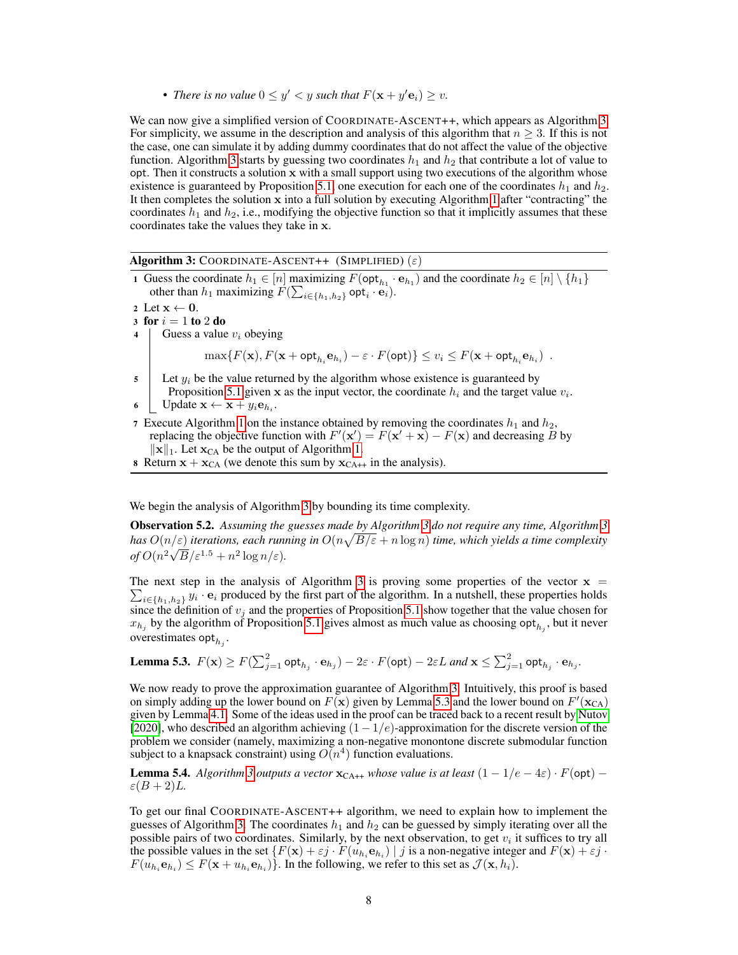• *There is no value*  $0 \le y' < y$  *such that*  $F(\mathbf{x} + y' \mathbf{e}_i) \ge v$ *.* 

<span id="page-7-0"></span>We can now give a simplified version of COORDINATE-ASCENT++, which appears as Algorithm 3. For simplicity, we assume in the description and analysis of this algorithm that  $n \geq 3$ . If this is not the case, one can simulate it by adding dummy coordinates that do not affect the value of the objective function. Algorithm 3 starts by guessing two coordinates  $h_1$  and  $h_2$  that contribute a lot of value to opt. Then it constructs a solution  $x$  with a small support using two executions of the algorithm whose existence is guaranteed by Proposition [5.1,](#page-6-0) one execution for each one of the coordinates  $h_1$  and  $h_2$ . It then completes the solution  $x$  into a full solution by executing Algorithm [1](#page-4-0) after "contracting" the coordinates  $h_1$  and  $h_2$ , i.e., modifying the objective function so that it implicitly assumes that these coordinates take the values they take in x.

#### Algorithm 3: COORDINATE-ASCENT++ (SIMPLIFIED)  $(\varepsilon)$

1 Guess the coordinate  $h_1 \in [n]$  maximizing  $F(\text{opt}_{h_1} \cdot \mathbf{e}_{h_1})$  and the coordinate  $h_2 \in [n] \setminus \{h_1\}$ other than  $h_1$  maximizing  $F(\sum_{i \in \{h_1, h_2\}} \mathsf{opt}_i \cdot \mathbf{e}_i)$ .

2 Let  $x \leftarrow 0$ .

- 3 for  $i = 1$  to 2 do
- 4 Guess a value  $v_i$  obeying

 $\max\{F(\mathbf{x}), F(\mathbf{x} + \mathsf{opt}_{h_i}\mathbf{e}_{h_i}) - \varepsilon \cdot F(\mathsf{opt})\} \leq v_i \leq F(\mathbf{x} + \mathsf{opt}_{h_i}\mathbf{e}_{h_i})$ .

 $5$  Let  $y_i$  be the value returned by the algorithm whose existence is guaranteed by Proposition [5.1](#page-6-0) given x as the input vector, the coordinate  $h_i$  and the target value  $v_i$ .

- 7 Execute Algorithm [1](#page-4-0) on the instance obtained by removing the coordinates  $h_1$  and  $h_2$ , replacing the objective function with  $F'(\mathbf{x}') = F(\mathbf{x}' + \mathbf{x}) - F(\mathbf{x})$  and decreasing B by  $\|\mathbf{x}\|_1$ . Let  $\mathbf{x}_{CA}$  be the output of Algorithm [1.](#page-4-0)
- 8 Return  $x + x_{CA}$  (we denote this sum by  $x_{CA^{++}}$  in the analysis).

We begin the analysis of Algorithm 3 by bounding its time complexity.

Observation 5.2. *Assuming the guesses made by Algorithm 3 do not require any time, Algorithm 3 has*  $O(n/\varepsilon)$  *iterations, each running in*  $O(n\sqrt{B/\varepsilon} + n \log n)$  *time, which yields a time complexity*  $of O(n^2\sqrt{B}/\varepsilon^{1.5}+n^2\log n/\varepsilon).$ 

The next step in the analysis of Algorithm 3 is proving some properties of the vector  $\mathbf{x} = \sum_{i \in I} b_i$ ,  $b_i y_i \cdot \mathbf{e}_i$  produced by the first part of the algorithm. In a nutshell, these properties holds  $i \in \{h_1, h_2\}$   $y_i \cdot e_i$  produced by the first part of the algorithm. In a nutshell, these properties holds since the definition of  $v_j$  and the properties of Proposition [5.1](#page-6-0) show together that the value chosen for  $x_{h_j}$  by the algorithm of Proposition [5.1](#page-6-0) gives almost as much value as choosing opt<sub> $h_j$ </sub>, but it never overestimates  $\mathsf{opt}_{h_j}$ .

Lemma 5.3.  $F(\mathbf{x}) \geq F(\sum_{j=1}^2 \mathsf{opt}_{h_j} \cdot \mathbf{e}_{h_j}) - 2\varepsilon \cdot F(\mathsf{opt}) - 2\varepsilon L$  and  $\mathbf{x} \leq \sum_{j=1}^2 \mathsf{opt}_{h_j} \cdot \mathbf{e}_{h_j}.$ 

We now ready to prove the approximation guarantee of Algorithm 3. Intuitively, this proof is based on simply adding up the lower bound on  $F(\mathbf{x})$  given by Lemma 5.3 and the lower bound on  $F'(\mathbf{x}_{CA})$ given by Lemma [4.1.](#page-5-0) Some of the ideas used in the proof can be traced back to a recent result by [Nutov](#page-11-0) [\[2020\]](#page-11-0), who described an algorithm achieving  $(1-1/e)$ -approximation for the discrete version of the problem we consider (namely, maximizing a non-negative monontone discrete submodular function subject to a knapsack constraint) using  $O(n^4)$  function evaluations.

**Lemma 5.4.** *Algorithm 3 outputs a vector*  $\mathbf{x}_{CA++}$  *whose value is at least*  $(1 - 1/e - 4\varepsilon) \cdot F(\text{opt})$  –  $\varepsilon(B+2)L$ .

To get our final COORDINATE-ASCENT++ algorithm, we need to explain how to implement the guesses of Algorithm 3. The coordinates  $h_1$  and  $h_2$  can be guessed by simply iterating over all the possible pairs of two coordinates. Similarly, by the next observation, to get  $v_i$  it suffices to try all the possible values in the set  $\{F(\mathbf{x}) + \varepsilon j \cdot F(u_{h_i} \mathbf{e}_{h_i}) \mid j \text{ is a non-negative integer and } F(\mathbf{x}) + \varepsilon j \cdot F(u_{h_i} \mathbf{e}_{h_i})\}$  $F(u_{h_i} \mathbf{e}_{h_i}) \leq F(\mathbf{x} + u_{h_i} \mathbf{e}_{h_i})\}$ . In the following, we refer to this set as  $\mathcal{J}(\mathbf{x}, h_i)$ .

<sup>6</sup> Update  $\mathbf{x} \leftarrow \mathbf{x} + y_i \mathbf{e}_{h_i}$ .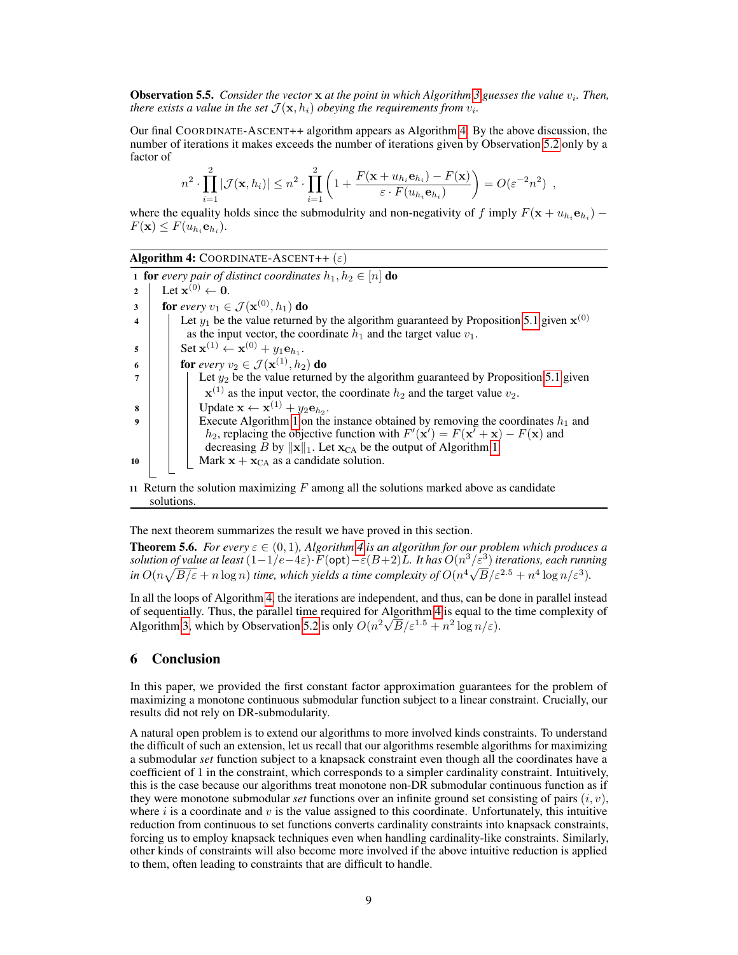Observation 5.5. *Consider the vector* x *at the point in which Algorithm* [3](#page-7-0) guesses the value  $v_i$ . Then, *there exists a value in the set*  $\mathcal{J}(\mathbf{x}, h_i)$  *obeying the requirements from*  $v_i$ *.* 

Our final COORDINATE-ASCENT++ algorithm appears as Algorithm 4. By the above discussion, the number of iterations it makes exceeds the number of iterations given by Observation [5.2](#page-7-0) only by a factor of

$$
n^2 \cdot \prod_{i=1}^2 |\mathcal{J}(\mathbf{x}, h_i)| \leq n^2 \cdot \prod_{i=1}^2 \left(1 + \frac{F(\mathbf{x} + u_{h_i} \mathbf{e}_{h_i}) - F(\mathbf{x})}{\varepsilon \cdot F(u_{h_i} \mathbf{e}_{h_i})}\right) = O(\varepsilon^{-2} n^2) ,
$$

where the equality holds since the submodulrity and non-negativity of f imply  $F(\mathbf{x} + u_{h_i} \mathbf{e}_{h_i})$  –  $F(\mathbf{x}) \leq F(u_{h_i} \mathbf{e}_{h_i}).$ 

Algorithm 4: COORDINATE-ASCENT++  $(\varepsilon)$ 

1 **for** *every pair of distinct coordinates*  $h_1, h_2 \in [n]$  **do** 2 Let  $\mathbf{x}^{(0)} \leftarrow \mathbf{0}$ . 3 **for** every  $v_1 \in \mathcal{J}(\mathbf{x}^{(0)}, h_1)$  do 4  $\parallel$  Let  $y_1$  be the value returned by the algorithm guaranteed by Proposition [5.1](#page-6-0) given  $\mathbf{x}^{(0)}$ as the input vector, the coordinate  $h_1$  and the target value  $v_1$ .  $\mathbf{s}$  | Set  $\mathbf{x}^{(1)} \leftarrow \mathbf{x}^{(0)} + y_1 \mathbf{e}_{h_1}.$ 6 **for** *every*  $v_2 \in \mathcal{J}(\mathbf{x}^{(1)}, h_2)$  do  $7$  | | Let  $y_2$  be the value returned by the algorithm guaranteed by Proposition [5.1](#page-6-0) given  $\mathbf{x}^{(1)}$  as the input vector, the coordinate  $h_2$  and the target value  $v_2$ .  $\mathbf{s}$  | | Update  $\mathbf{x} \leftarrow \mathbf{x}^{(1)} + y_2 \mathbf{e}_{h_2}$ . 9 Execute Algorithm [1](#page-4-0) on the instance obtained by removing the coordinates  $h_1$  and  $h_2$ , replacing the objective function with  $F'(\mathbf{x}') = F(\mathbf{x}' + \mathbf{x}) - F(\mathbf{x})$  and decreasing B by  $\|\mathbf{x}\|_1$ . Let  $\mathbf{x}_{CA}$  be the output of Algorithm [1.](#page-4-0) 10 | | Mark  $x + x_{CA}$  as a candidate solution. 11 Return the solution maximizing  $F$  among all the solutions marked above as candidate solutions.

The next theorem summarizes the result we have proved in this section.

**Theorem 5.6.** *For every*  $\varepsilon \in (0,1)$ *, Algorithm 4 is an algorithm for our problem which produces a solution of value at least*  $(1-1/e-4\varepsilon) \cdot F(\text{opt})-\varepsilon(B+2)L$ *. It has*  $O(n^3/\varepsilon^3)$  *iterations, each running in*  $O(n\sqrt{B/\varepsilon} + n\log n)$  *time, which yields a time complexity of*  $O(n^4\sqrt{B/\varepsilon^{2.5}} + n^4\log n/\varepsilon^3)$ .

In all the loops of Algorithm 4, the iterations are independent, and thus, can be done in parallel instead of sequentially. Thus, the parallel time required for Algorithm 4 is equal to the time complexity of Algorithm [3,](#page-7-0) which by Observation [5.2](#page-7-0) is only  $O(n^2\sqrt{B}/\varepsilon^{1.5} + n^2 \log n/\varepsilon)$ .

## 6 Conclusion

In this paper, we provided the first constant factor approximation guarantees for the problem of maximizing a monotone continuous submodular function subject to a linear constraint. Crucially, our results did not rely on DR-submodularity.

A natural open problem is to extend our algorithms to more involved kinds constraints. To understand the difficult of such an extension, let us recall that our algorithms resemble algorithms for maximizing a submodular *set* function subject to a knapsack constraint even though all the coordinates have a coefficient of 1 in the constraint, which corresponds to a simpler cardinality constraint. Intuitively, this is the case because our algorithms treat monotone non-DR submodular continuous function as if they were monotone submodular *set* functions over an infinite ground set consisting of pairs  $(i, v)$ , where  $i$  is a coordinate and  $v$  is the value assigned to this coordinate. Unfortunately, this intuitive reduction from continuous to set functions converts cardinality constraints into knapsack constraints, forcing us to employ knapsack techniques even when handling cardinality-like constraints. Similarly, other kinds of constraints will also become more involved if the above intuitive reduction is applied to them, often leading to constraints that are difficult to handle.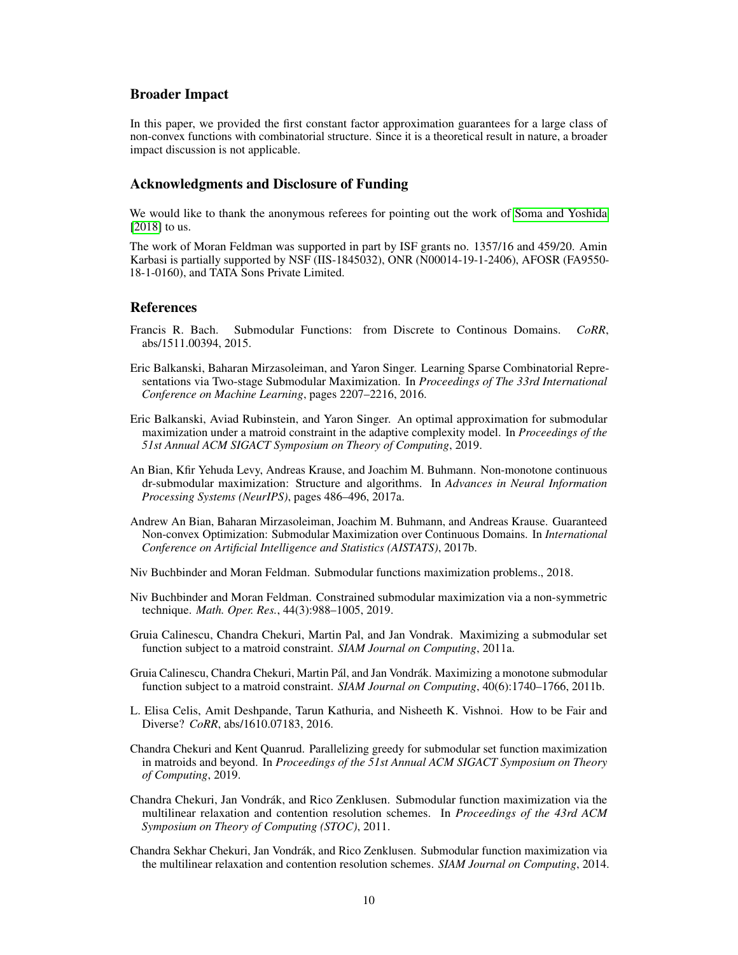## <span id="page-9-0"></span>Broader Impact

In this paper, we provided the first constant factor approximation guarantees for a large class of non-convex functions with combinatorial structure. Since it is a theoretical result in nature, a broader impact discussion is not applicable.

## Acknowledgments and Disclosure of Funding

We would like to thank the anonymous referees for pointing out the work of [Soma and Yoshida](#page-12-0) [\[2018\]](#page-12-0) to us.

The work of Moran Feldman was supported in part by ISF grants no. 1357/16 and 459/20. Amin Karbasi is partially supported by NSF (IIS-1845032), ONR (N00014-19-1-2406), AFOSR (FA9550- 18-1-0160), and TATA Sons Private Limited.

#### References

- Francis R. Bach. Submodular Functions: from Discrete to Continous Domains. *CoRR*, abs/1511.00394, 2015.
- Eric Balkanski, Baharan Mirzasoleiman, and Yaron Singer. Learning Sparse Combinatorial Representations via Two-stage Submodular Maximization. In *Proceedings of The 33rd International Conference on Machine Learning*, pages 2207–2216, 2016.
- Eric Balkanski, Aviad Rubinstein, and Yaron Singer. An optimal approximation for submodular maximization under a matroid constraint in the adaptive complexity model. In *Proceedings of the 51st Annual ACM SIGACT Symposium on Theory of Computing*, 2019.
- An Bian, Kfir Yehuda Levy, Andreas Krause, and Joachim M. Buhmann. Non-monotone continuous dr-submodular maximization: Structure and algorithms. In *Advances in Neural Information Processing Systems (NeurIPS)*, pages 486–496, 2017a.
- Andrew An Bian, Baharan Mirzasoleiman, Joachim M. Buhmann, and Andreas Krause. Guaranteed Non-convex Optimization: Submodular Maximization over Continuous Domains. In *International Conference on Artificial Intelligence and Statistics (AISTATS)*, 2017b.
- Niv Buchbinder and Moran Feldman. Submodular functions maximization problems., 2018.
- Niv Buchbinder and Moran Feldman. Constrained submodular maximization via a non-symmetric technique. *Math. Oper. Res.*, 44(3):988–1005, 2019.
- Gruia Calinescu, Chandra Chekuri, Martin Pal, and Jan Vondrak. Maximizing a submodular set function subject to a matroid constraint. *SIAM Journal on Computing*, 2011a.
- Gruia Calinescu, Chandra Chekuri, Martin Pál, and Jan Vondrák. Maximizing a monotone submodular function subject to a matroid constraint. *SIAM Journal on Computing*, 40(6):1740–1766, 2011b.
- L. Elisa Celis, Amit Deshpande, Tarun Kathuria, and Nisheeth K. Vishnoi. How to be Fair and Diverse? *CoRR*, abs/1610.07183, 2016.
- Chandra Chekuri and Kent Quanrud. Parallelizing greedy for submodular set function maximization in matroids and beyond. In *Proceedings of the 51st Annual ACM SIGACT Symposium on Theory of Computing*, 2019.
- Chandra Chekuri, Jan Vondrák, and Rico Zenklusen. Submodular function maximization via the multilinear relaxation and contention resolution schemes. In *Proceedings of the 43rd ACM Symposium on Theory of Computing (STOC)*, 2011.
- Chandra Sekhar Chekuri, Jan Vondrák, and Rico Zenklusen. Submodular function maximization via the multilinear relaxation and contention resolution schemes. *SIAM Journal on Computing*, 2014.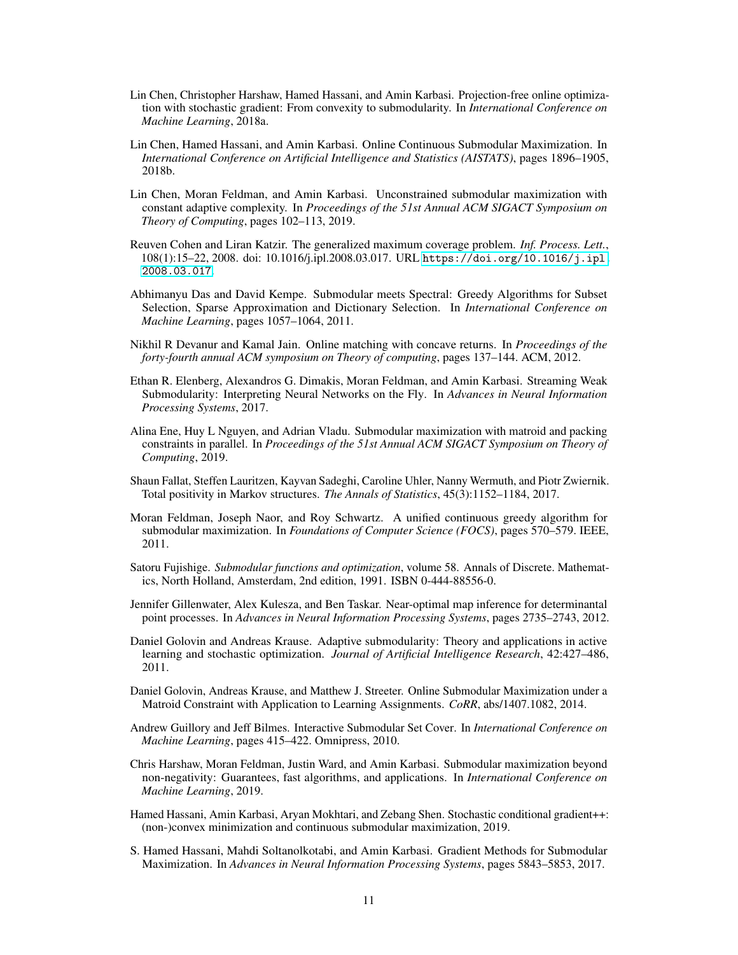- <span id="page-10-0"></span>Lin Chen, Christopher Harshaw, Hamed Hassani, and Amin Karbasi. Projection-free online optimization with stochastic gradient: From convexity to submodularity. In *International Conference on Machine Learning*, 2018a.
- Lin Chen, Hamed Hassani, and Amin Karbasi. Online Continuous Submodular Maximization. In *International Conference on Artificial Intelligence and Statistics (AISTATS)*, pages 1896–1905, 2018b.
- Lin Chen, Moran Feldman, and Amin Karbasi. Unconstrained submodular maximization with constant adaptive complexity. In *Proceedings of the 51st Annual ACM SIGACT Symposium on Theory of Computing*, pages 102–113, 2019.
- Reuven Cohen and Liran Katzir. The generalized maximum coverage problem. *Inf. Process. Lett.*, 108(1):15–22, 2008. doi: 10.1016/j.ipl.2008.03.017. URL [https://doi.org/10.1016/j.ipl.](https://doi.org/10.1016/j.ipl.2008.03.017) [2008.03.017](https://doi.org/10.1016/j.ipl.2008.03.017).
- Abhimanyu Das and David Kempe. Submodular meets Spectral: Greedy Algorithms for Subset Selection, Sparse Approximation and Dictionary Selection. In *International Conference on Machine Learning*, pages 1057–1064, 2011.
- Nikhil R Devanur and Kamal Jain. Online matching with concave returns. In *Proceedings of the forty-fourth annual ACM symposium on Theory of computing*, pages 137–144. ACM, 2012.
- Ethan R. Elenberg, Alexandros G. Dimakis, Moran Feldman, and Amin Karbasi. Streaming Weak Submodularity: Interpreting Neural Networks on the Fly. In *Advances in Neural Information Processing Systems*, 2017.
- Alina Ene, Huy L Nguyen, and Adrian Vladu. Submodular maximization with matroid and packing constraints in parallel. In *Proceedings of the 51st Annual ACM SIGACT Symposium on Theory of Computing*, 2019.
- Shaun Fallat, Steffen Lauritzen, Kayvan Sadeghi, Caroline Uhler, Nanny Wermuth, and Piotr Zwiernik. Total positivity in Markov structures. *The Annals of Statistics*, 45(3):1152–1184, 2017.
- Moran Feldman, Joseph Naor, and Roy Schwartz. A unified continuous greedy algorithm for submodular maximization. In *Foundations of Computer Science (FOCS)*, pages 570–579. IEEE, 2011.
- Satoru Fujishige. *Submodular functions and optimization*, volume 58. Annals of Discrete. Mathematics, North Holland, Amsterdam, 2nd edition, 1991. ISBN 0-444-88556-0.
- Jennifer Gillenwater, Alex Kulesza, and Ben Taskar. Near-optimal map inference for determinantal point processes. In *Advances in Neural Information Processing Systems*, pages 2735–2743, 2012.
- Daniel Golovin and Andreas Krause. Adaptive submodularity: Theory and applications in active learning and stochastic optimization. *Journal of Artificial Intelligence Research*, 42:427–486, 2011.
- Daniel Golovin, Andreas Krause, and Matthew J. Streeter. Online Submodular Maximization under a Matroid Constraint with Application to Learning Assignments. *CoRR*, abs/1407.1082, 2014.
- Andrew Guillory and Jeff Bilmes. Interactive Submodular Set Cover. In *International Conference on Machine Learning*, pages 415–422. Omnipress, 2010.
- Chris Harshaw, Moran Feldman, Justin Ward, and Amin Karbasi. Submodular maximization beyond non-negativity: Guarantees, fast algorithms, and applications. In *International Conference on Machine Learning*, 2019.
- Hamed Hassani, Amin Karbasi, Aryan Mokhtari, and Zebang Shen. Stochastic conditional gradient++: (non-)convex minimization and continuous submodular maximization, 2019.
- S. Hamed Hassani, Mahdi Soltanolkotabi, and Amin Karbasi. Gradient Methods for Submodular Maximization. In *Advances in Neural Information Processing Systems*, pages 5843–5853, 2017.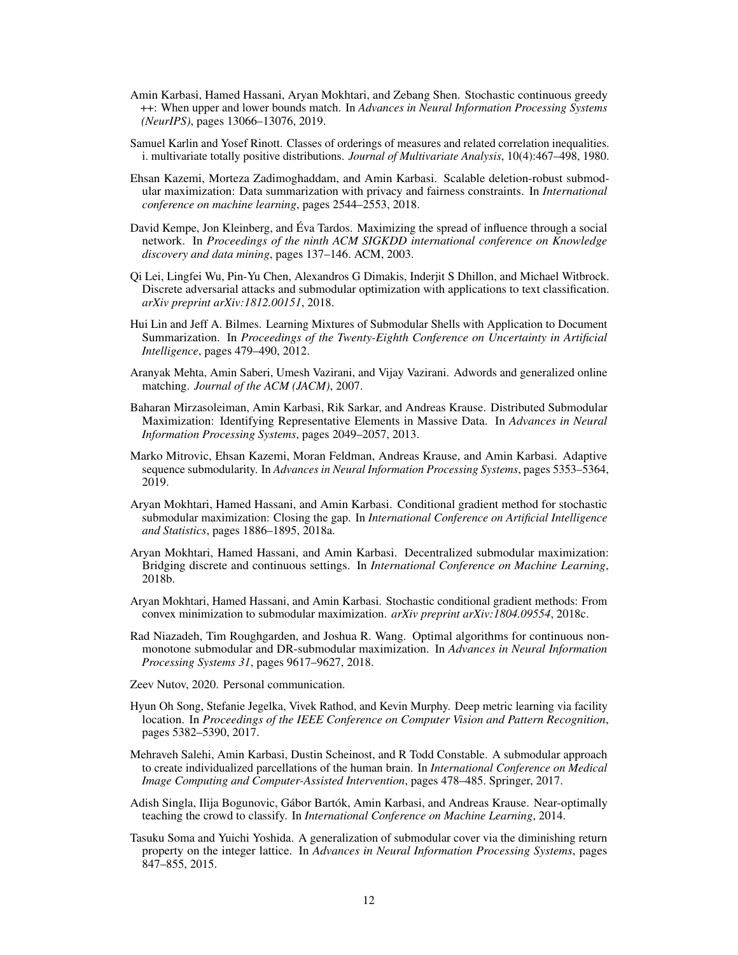- <span id="page-11-0"></span>Amin Karbasi, Hamed Hassani, Aryan Mokhtari, and Zebang Shen. Stochastic continuous greedy ++: When upper and lower bounds match. In *Advances in Neural Information Processing Systems (NeurIPS)*, pages 13066–13076, 2019.
- Samuel Karlin and Yosef Rinott. Classes of orderings of measures and related correlation inequalities. i. multivariate totally positive distributions. *Journal of Multivariate Analysis*, 10(4):467–498, 1980.
- Ehsan Kazemi, Morteza Zadimoghaddam, and Amin Karbasi. Scalable deletion-robust submodular maximization: Data summarization with privacy and fairness constraints. In *International conference on machine learning*, pages 2544–2553, 2018.
- David Kempe, Jon Kleinberg, and Éva Tardos. Maximizing the spread of influence through a social network. In *Proceedings of the ninth ACM SIGKDD international conference on Knowledge discovery and data mining*, pages 137–146. ACM, 2003.
- Qi Lei, Lingfei Wu, Pin-Yu Chen, Alexandros G Dimakis, Inderjit S Dhillon, and Michael Witbrock. Discrete adversarial attacks and submodular optimization with applications to text classification. *arXiv preprint arXiv:1812.00151*, 2018.
- Hui Lin and Jeff A. Bilmes. Learning Mixtures of Submodular Shells with Application to Document Summarization. In *Proceedings of the Twenty-Eighth Conference on Uncertainty in Artificial Intelligence*, pages 479–490, 2012.
- Aranyak Mehta, Amin Saberi, Umesh Vazirani, and Vijay Vazirani. Adwords and generalized online matching. *Journal of the ACM (JACM)*, 2007.
- Baharan Mirzasoleiman, Amin Karbasi, Rik Sarkar, and Andreas Krause. Distributed Submodular Maximization: Identifying Representative Elements in Massive Data. In *Advances in Neural Information Processing Systems*, pages 2049–2057, 2013.
- Marko Mitrovic, Ehsan Kazemi, Moran Feldman, Andreas Krause, and Amin Karbasi. Adaptive sequence submodularity. In *Advances in Neural Information Processing Systems*, pages 5353–5364, 2019.
- Aryan Mokhtari, Hamed Hassani, and Amin Karbasi. Conditional gradient method for stochastic submodular maximization: Closing the gap. In *International Conference on Artificial Intelligence and Statistics*, pages 1886–1895, 2018a.
- Aryan Mokhtari, Hamed Hassani, and Amin Karbasi. Decentralized submodular maximization: Bridging discrete and continuous settings. In *International Conference on Machine Learning*, 2018b.
- Aryan Mokhtari, Hamed Hassani, and Amin Karbasi. Stochastic conditional gradient methods: From convex minimization to submodular maximization. *arXiv preprint arXiv:1804.09554*, 2018c.
- Rad Niazadeh, Tim Roughgarden, and Joshua R. Wang. Optimal algorithms for continuous nonmonotone submodular and DR-submodular maximization. In *Advances in Neural Information Processing Systems 31*, pages 9617–9627, 2018.
- Zeev Nutov, 2020. Personal communication.
- Hyun Oh Song, Stefanie Jegelka, Vivek Rathod, and Kevin Murphy. Deep metric learning via facility location. In *Proceedings of the IEEE Conference on Computer Vision and Pattern Recognition*, pages 5382–5390, 2017.
- Mehraveh Salehi, Amin Karbasi, Dustin Scheinost, and R Todd Constable. A submodular approach to create individualized parcellations of the human brain. In *International Conference on Medical Image Computing and Computer-Assisted Intervention*, pages 478–485. Springer, 2017.
- Adish Singla, Ilija Bogunovic, Gábor Bartók, Amin Karbasi, and Andreas Krause. Near-optimally teaching the crowd to classify. In *International Conference on Machine Learning*, 2014.
- Tasuku Soma and Yuichi Yoshida. A generalization of submodular cover via the diminishing return property on the integer lattice. In *Advances in Neural Information Processing Systems*, pages 847–855, 2015.